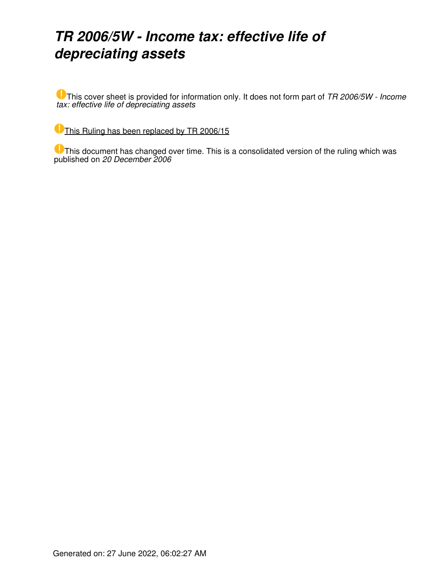## *TR 2006/5W - Income tax: effective life of depreciating assets*

This cover sheet is provided for information only. It does not form part of *TR 2006/5W - Income tax: effective life of depreciating assets*

[This Ruling has been replaced by TR 2006/15](https://www.ato.gov.au/law/view/document?LocID=%22TXR%2FTR200615%2FNAT%2FATO%22&PiT=20120627000001)

This document has changed over time. This is a consolidated version of the ruling which was published on *20 December 2006*